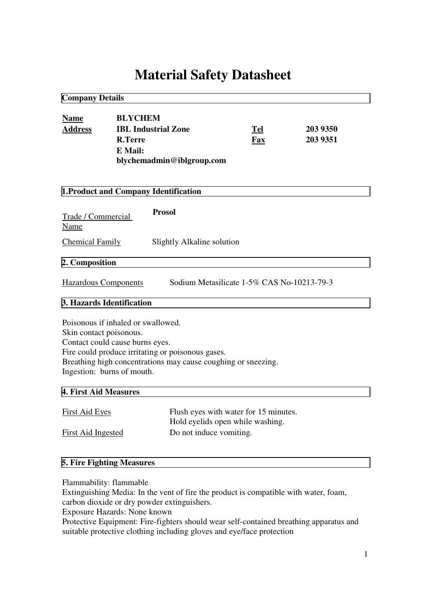# **Material Safety Datasheet**

| <b>Company Details</b>                                                                                                         |                                                    |                                                                                                                    |                                                                           |                      |  |  |
|--------------------------------------------------------------------------------------------------------------------------------|----------------------------------------------------|--------------------------------------------------------------------------------------------------------------------|---------------------------------------------------------------------------|----------------------|--|--|
| <b>Name</b><br><b>Address</b>                                                                                                  | <b>BLYCHEM</b><br><b>R.Terre</b><br><b>E</b> Mail: | <b>IBL Industrial Zone</b><br>blychemadmin@iblgroup.com                                                            | Tel<br>Fax                                                                | 203 9350<br>203 9351 |  |  |
| <b>1. Product and Company Identification</b>                                                                                   |                                                    |                                                                                                                    |                                                                           |                      |  |  |
| Trade / Commercial<br>Name                                                                                                     |                                                    | <b>Prosol</b>                                                                                                      |                                                                           |                      |  |  |
| <b>Chemical Family</b>                                                                                                         |                                                    | Slightly Alkaline solution                                                                                         |                                                                           |                      |  |  |
| 2. Composition                                                                                                                 |                                                    |                                                                                                                    |                                                                           |                      |  |  |
| <b>Hazardous Components</b>                                                                                                    |                                                    |                                                                                                                    | Sodium Metasilicate 1-5% CAS No-10213-79-3                                |                      |  |  |
| 3. Hazards Identification                                                                                                      |                                                    |                                                                                                                    |                                                                           |                      |  |  |
| Poisonous if inhaled or swallowed.<br>Skin contact poisonous.<br>Contact could cause burns eyes.<br>Ingestion: burns of mouth. |                                                    | Fire could produce irritating or poisonous gases.<br>Breathing high concentrations may cause coughing or sneezing. |                                                                           |                      |  |  |
| 4. First Aid Measures                                                                                                          |                                                    |                                                                                                                    |                                                                           |                      |  |  |
| <b>First Aid Eyes</b><br><b>First Aid Ingested</b>                                                                             |                                                    | Do not induce vomiting.                                                                                            | Flush eyes with water for 15 minutes.<br>Hold eyelids open while washing. |                      |  |  |
|                                                                                                                                |                                                    |                                                                                                                    |                                                                           |                      |  |  |

## **5. Fire Fighting Measures**

Flammability: flammable

Extinguishing Media: In the vent of fire the product is compatible with water, foam, carbon dioxide or dry powder extinguishers.

Exposure Hazards: None known

Protective Equipment: Fire-fighters should wear self-contained breathing apparatus and suitable protective clothing including gloves and eye/face protection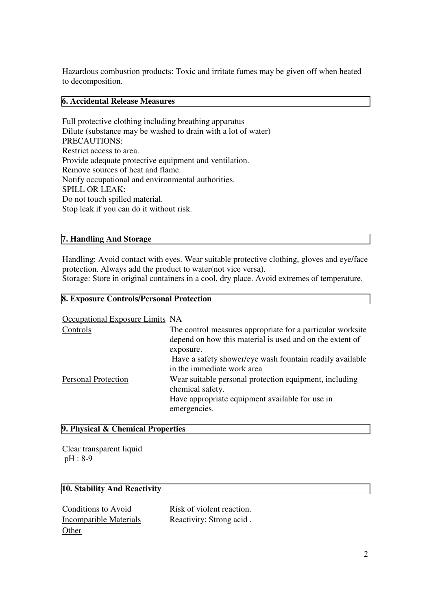Hazardous combustion products: Toxic and irritate fumes may be given off when heated to decomposition.

#### **6. Accidental Release Measures**

Full protective clothing including breathing apparatus Dilute (substance may be washed to drain with a lot of water) PRECAUTIONS: Restrict access to area. Provide adequate protective equipment and ventilation. Remove sources of heat and flame. Notify occupational and environmental authorities. SPILL OR LEAK: Do not touch spilled material. Stop leak if you can do it without risk.

#### **7. Handling And Storage**

Handling: Avoid contact with eyes. Wear suitable protective clothing, gloves and eye/face protection. Always add the product to water(not vice versa).

Storage: Store in original containers in a cool, dry place. Avoid extremes of temperature.

#### **8. Exposure Controls/Personal Protection**

Occupational Exposure Limits NA

| Controls                   | The control measures appropriate for a particular worksite<br>depend on how this material is used and on the extent of<br>exposure.           |
|----------------------------|-----------------------------------------------------------------------------------------------------------------------------------------------|
|                            | Have a safety shower/eye wash fountain readily available<br>in the immediate work area                                                        |
| <b>Personal Protection</b> | Wear suitable personal protection equipment, including<br>chemical safety.<br>Have appropriate equipment available for use in<br>emergencies. |

#### **9. Physical & Chemical Properties**

Clear transparent liquid pH : 8-9

#### **10. Stability And Reactivity**

Conditions to Avoid Risk of violent reaction. **Other** 

Incompatible Materials Reactivity: Strong acid.